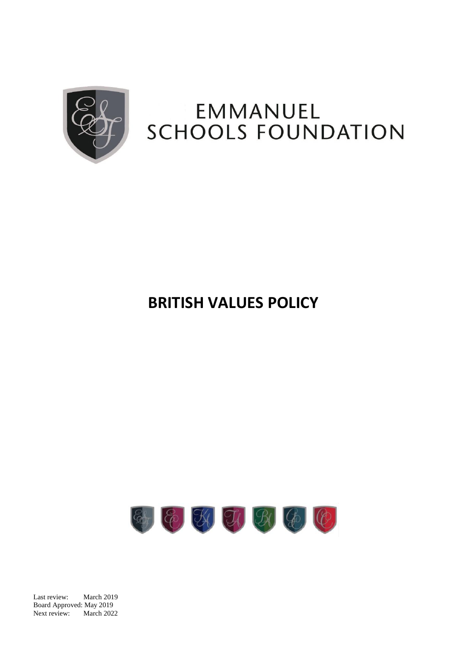

# EMMANUEL **SCHOOLS FOUNDATION**

# **BRITISH VALUES POLICY**



Last review: March 2019 Board Approved: May 2019 Next review: March 2022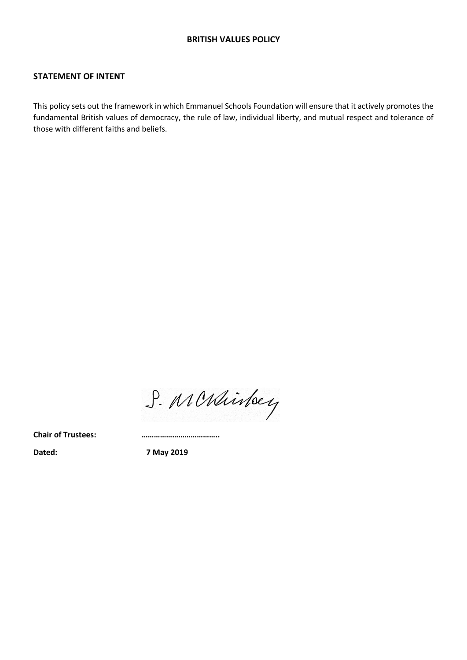#### **STATEMENT OF INTENT**

This policy sets out the framework in which Emmanuel Schools Foundation will ensure that it actively promotes the fundamental British values of democracy, the rule of law, individual liberty, and mutual respect and tolerance of those with different faiths and beliefs.

S. MCRhinteey

**Chair of Trustees: ………………………………..**

**Dated: 7 May 2019**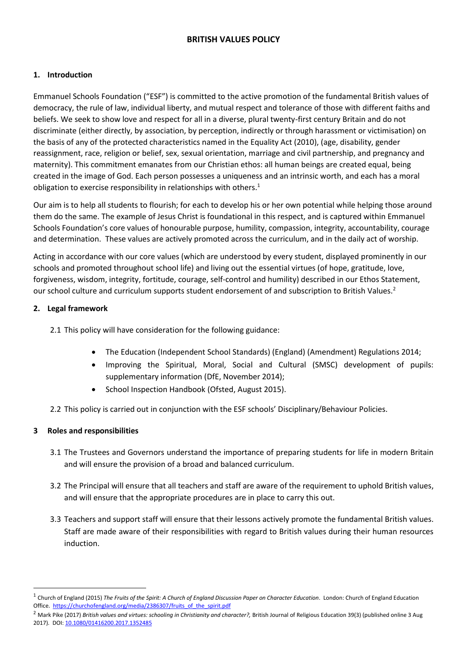# **BRITISH VALUES POLICY**

#### **1. Introduction**

Emmanuel Schools Foundation ("ESF") is committed to the active promotion of the fundamental British values of democracy, the rule of law, individual liberty, and mutual respect and tolerance of those with different faiths and beliefs. We seek to show love and respect for all in a diverse, plural twenty-first century Britain and do not discriminate (either directly, by association, by perception, indirectly or through harassment or victimisation) on the basis of any of the protected characteristics named in the Equality Act (2010), (age, disability, gender reassignment, race, religion or belief, sex, sexual orientation, marriage and civil partnership, and pregnancy and maternity). This commitment emanates from our Christian ethos: all human beings are created equal, being created in the image of God. Each person possesses a uniqueness and an intrinsic worth, and each has a moral obligation to exercise responsibility in relationships with others.<sup>1</sup>

Our aim is to help all students to flourish; for each to develop his or her own potential while helping those around them do the same. The example of Jesus Christ is foundational in this respect, and is captured within Emmanuel Schools Foundation's core values of honourable purpose, humility, compassion, integrity, accountability, courage and determination. These values are actively promoted across the curriculum, and in the daily act of worship.

Acting in accordance with our core values (which are understood by every student, displayed prominently in our schools and promoted throughout school life) and living out the essential virtues (of hope, gratitude, love, forgiveness, wisdom, integrity, fortitude, courage, self-control and humility) described in our Ethos Statement, our school culture and curriculum supports student endorsement of and subscription to British Values.<sup>2</sup>

### **2. Legal framework**

2.1 This policy will have consideration for the following guidance:

- The Education (Independent School Standards) (England) (Amendment) Regulations 2014;
- Improving the Spiritual, Moral, Social and Cultural (SMSC) development of pupils: supplementary information (DfE, November 2014);
- School Inspection Handbook (Ofsted, August 2015).
- 2.2 This policy is carried out in conjunction with the ESF schools' Disciplinary/Behaviour Policies.

#### **3 Roles and responsibilities**

 $\overline{a}$ 

- 3.1 The Trustees and Governors understand the importance of preparing students for life in modern Britain and will ensure the provision of a broad and balanced curriculum.
- 3.2 The Principal will ensure that all teachers and staff are aware of the requirement to uphold British values, and will ensure that the appropriate procedures are in place to carry this out.
- 3.3 Teachers and support staff will ensure that their lessons actively promote the fundamental British values. Staff are made aware of their responsibilities with regard to British values during their human resources induction.

<sup>1</sup> Church of England (2015) *The Fruits of the Spirit: A Church of England Discussion Paper on Character Education*. London: Church of England Education Office. https://churchofengland.org/media/2386307/fruits\_of\_the\_spirit.pdf

<sup>&</sup>lt;sup>2</sup> Mark Pike (2017) *British values and virtues: schooling in Christianity and character?, British Journal of Religious Education 39(3) (published online 3 Aug* 2017)*.* DOI: [10.1080/01416200.2017.1352485](http://dx.doi.org/10.1080/01416200.2017.1352485)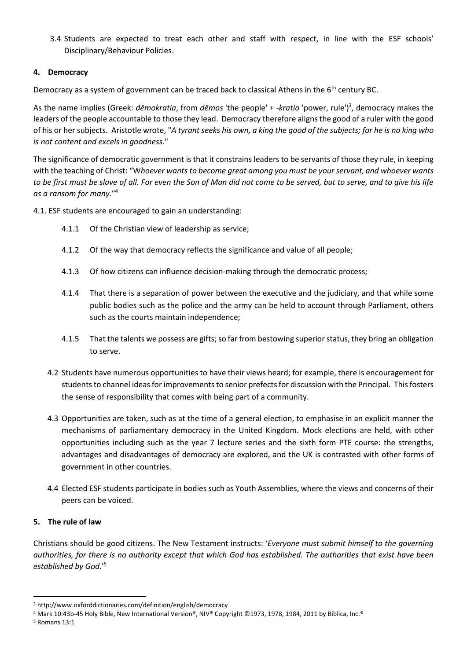3.4 Students are expected to treat each other and staff with respect, in line with the ESF schools' Disciplinary/Behaviour Policies.

#### **4. Democracy**

Democracy as a system of government can be traced back to classical Athens in the 6<sup>th</sup> century BC.

As the name implies (Greek: *dēmokratia*, from *dēmos* 'the people' + *-kratia* 'power, rule') 3 , democracy makes the leaders of the people accountable to those they lead. Democracy therefore aligns the good of a ruler with the good of his or her subjects. Aristotle wrote, "*A tyrant seeks his own, a king the good of the subjects; for he is no king who is not content and excels in goodness.*"

The significance of democratic government is that it constrains leaders to be servants of those they rule, in keeping with the teaching of Christ: "W*hoever wants to become great among you must be your servant, and whoever wants to be first must be slave of all. For even the Son of Man did not come to be served, but to serve, and to give his life as a ransom for many*."<sup>4</sup>

4.1. ESF students are encouraged to gain an understanding:

- 4.1.1 Of the Christian view of leadership as service;
- 4.1.2 Of the way that democracy reflects the significance and value of all people;
- 4.1.3 Of how citizens can influence decision-making through the democratic process;
- 4.1.4 That there is a separation of power between the executive and the judiciary, and that while some public bodies such as the police and the army can be held to account through Parliament, others such as the courts maintain independence;
- 4.1.5 That the talents we possess are gifts; so far from bestowing superior status, they bring an obligation to serve.
- 4.2 Students have numerous opportunities to have their views heard; for example, there is encouragement for students to channel ideas for improvements to senior prefects for discussion with the Principal. Thisfosters the sense of responsibility that comes with being part of a community.
- 4.3 Opportunities are taken, such as at the time of a general election, to emphasise in an explicit manner the mechanisms of parliamentary democracy in the United Kingdom. Mock elections are held, with other opportunities including such as the year 7 lecture series and the sixth form PTE course: the strengths, advantages and disadvantages of democracy are explored, and the UK is contrasted with other forms of government in other countries.
- 4.4 Elected ESF students participate in bodies such as Youth Assemblies, where the views and concerns of their peers can be voiced.

#### **5. The rule of law**

Christians should be good citizens. The New Testament instructs: '*Everyone must submit himself to the governing authorities, for there is no authority except that which God has established. The authorities that exist have been established by God*.' 5

 $\ddot{\phantom{a}}$ 

<sup>3</sup> http://www.oxforddictionaries.com/definition/english/democracy

<sup>4</sup> Mark 10:43b-45 Holy Bible, New International Version®, NIV® Copyright ©1973, 1978, 1984, 2011 by [Biblica, Inc.®](http://www.biblica.com/) 

<sup>5</sup> Romans 13:1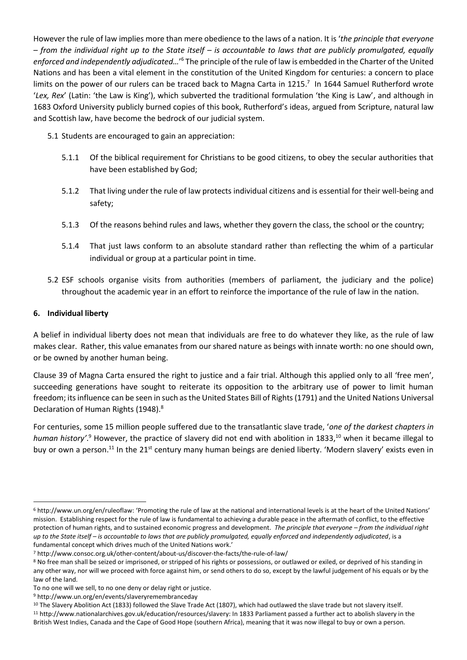However the rule of law implies more than mere obedience to the laws of a nation. It is '*the principle that everyone – from the individual right up to the State itself – is accountable to laws that are publicly promulgated, equally*  enforced and independently adjudicated...'<sup>6</sup> The principle of the rule of law is embedded in the Charter of the United Nations and has been a vital element in the constitution of the United Kingdom for centuries: a concern to place limits on the power of our rulers can be traced back to Magna Carta in 1215.<sup>7</sup> In 1644 Samuel Rutherford wrote '*Lex, Rex*' (Latin: 'the Law is King'), which subverted the traditional formulation 'the King is Law', and although in 1683 Oxford University publicly burned copies of this book, Rutherford's ideas, argued from Scripture, natural law and Scottish law, have become the bedrock of our judicial system.

5.1 Students are encouraged to gain an appreciation:

- 5.1.1 Of the biblical requirement for Christians to be good citizens, to obey the secular authorities that have been established by God;
- 5.1.2 That living under the rule of law protects individual citizens and is essential for their well-being and safety;
- 5.1.3 Of the reasons behind rules and laws, whether they govern the class, the school or the country;
- 5.1.4 That just laws conform to an absolute standard rather than reflecting the whim of a particular individual or group at a particular point in time.
- 5.2 ESF schools organise visits from authorities (members of parliament, the judiciary and the police) throughout the academic year in an effort to reinforce the importance of the rule of law in the nation.

# **6. Individual liberty**

A belief in individual liberty does not mean that individuals are free to do whatever they like, as the rule of law makes clear. Rather, this value emanates from our shared nature as beings with innate worth: no one should own, or be owned by another human being.

Clause 39 of Magna Carta ensured the right to justice and a fair trial. Although this applied only to all 'free men', succeeding generations have sought to reiterate its opposition to the arbitrary use of power to limit human freedom; its influence can be seen in such as the United States Bill of Rights (1791) and the United Nations Universal Declaration of Human Rights (1948).<sup>8</sup>

For centuries, some 15 million people suffered due to the transatlantic slave trade, '*one of the darkest chapters in*  human history'.<sup>9</sup> However, the practice of slavery did not end with abolition in 1833,<sup>10</sup> when it became illegal to buy or own a person.<sup>11</sup> In the 21<sup>st</sup> century many human beings are denied liberty. 'Modern slavery' exists even in

 $\overline{a}$ <sup>6</sup> http://www.un.org/en/ruleoflaw: 'Promoting the rule of law at the national and international levels is at the heart of the United Nations' mission. Establishing respect for the rule of law is fundamental to achieving a durable peace in the aftermath of conflict, to the effective protection of human rights, and to sustained economic progress and development. *The principle that everyone – from the individual right up to the State itself – is accountable to laws that are publicly promulgated, equally enforced and independently adjudicated*, is a fundamental concept which drives much of the United Nations work.'

<sup>7</sup> http://www.consoc.org.uk/other-content/about-us/discover-the-facts/the-rule-of-law/

<sup>&</sup>lt;sup>8</sup> No free man shall be seized or imprisoned, or stripped of his rights or possessions, or outlawed or exiled, or deprived of his standing in any other way, nor will we proceed with force against him, or send others to do so, except by the lawful judgement of his equals or by the law of the land.

To no one will we sell, to no one deny or delay right or justice.

<sup>9</sup> http://www.un.org/en/events/slaveryremembranceday

<sup>&</sup>lt;sup>10</sup> The Slavery Abolition Act (1833) followed the Slave Trade Act (1807), which had outlawed the slave trade but not slavery itself. <sup>11</sup> http://www.nationalarchives.gov.uk/education/resources/slavery: In 1833 Parliament passed a further act to abolish slavery in the British West Indies, Canada and the Cape of Good Hope (southern Africa), meaning that it was now illegal to buy or own a person.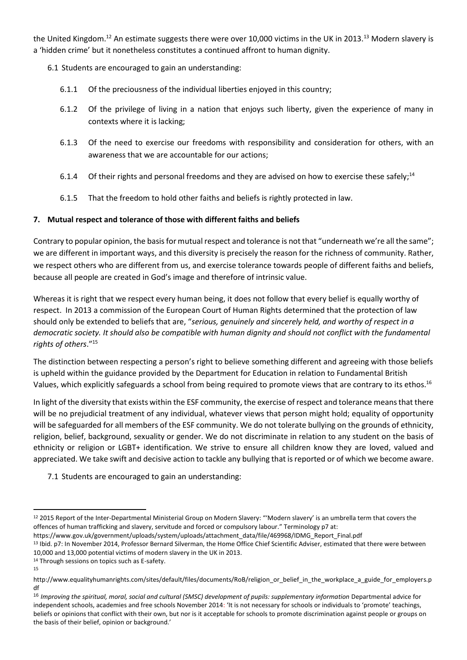the United Kingdom.<sup>12</sup> An estimate suggests there were over 10,000 victims in the UK in 2013.<sup>13</sup> Modern slavery is a 'hidden crime' but it nonetheless constitutes a continued affront to human dignity.

- 6.1 Students are encouraged to gain an understanding:
	- 6.1.1 Of the preciousness of the individual liberties enjoyed in this country;
	- 6.1.2 Of the privilege of living in a nation that enjoys such liberty, given the experience of many in contexts where it is lacking;
	- 6.1.3 Of the need to exercise our freedoms with responsibility and consideration for others, with an awareness that we are accountable for our actions;
	- 6.1.4 Of their rights and personal freedoms and they are advised on how to exercise these safely;<sup>14</sup>
	- 6.1.5 That the freedom to hold other faiths and beliefs is rightly protected in law.

# **7. Mutual respect and tolerance of those with different faiths and beliefs**

Contrary to popular opinion, the basis for mutual respect and tolerance is not that "underneath we're all the same"; we are different in important ways, and this diversity is precisely the reason for the richness of community. Rather, we respect others who are different from us, and exercise tolerance towards people of different faiths and beliefs, because all people are created in God's image and therefore of intrinsic value.

Whereas it is right that we respect every human being, it does not follow that every belief is equally worthy of respect. In 2013 a commission of the European Court of Human Rights determined that the protection of law should only be extended to beliefs that are, "*serious, genuinely and sincerely held, and worthy of respect in a democratic society. It should also be compatible with human dignity and should not conflict with the fundamental rights of others*." 15

The distinction between respecting a person's right to believe something different and agreeing with those beliefs is upheld within the guidance provided by the Department for Education in relation to Fundamental British Values, which explicitly safeguards a school from being required to promote views that are contrary to its ethos.<sup>16</sup>

In light of the diversity that exists within the ESF community, the exercise of respect and tolerance means that there will be no prejudicial treatment of any individual, whatever views that person might hold; equality of opportunity will be safeguarded for all members of the ESF community. We do not tolerate bullying on the grounds of ethnicity, religion, belief, background, sexuality or gender. We do not discriminate in relation to any student on the basis of ethnicity or religion or LGBT+ identification. We strive to ensure all children know they are loved, valued and appreciated. We take swift and decisive action to tackle any bullying that is reported or of which we become aware.

7.1 Students are encouraged to gain an understanding:

<sup>14</sup> Through sessions on topics such as E-safety.

 $\overline{a}$ 

<sup>&</sup>lt;sup>12</sup> 2015 Report of the Inter-Departmental Ministerial Group on Modern Slavery: "'Modern slavery' is an umbrella term that covers the offences of human trafficking and slavery, servitude and forced or compulsory labour." Terminology p7 at:

https://www.gov.uk/government/uploads/system/uploads/attachment\_data/file/469968/IDMG\_Report\_Final.pdf

<sup>13</sup> Ibid. p7: In November 2014, Professor Bernard Silverman, the Home Office Chief Scientific Adviser, estimated that there were between 10,000 and 13,000 potential victims of modern slavery in the UK in 2013.

<sup>15</sup>

http://www.equalityhumanrights.com/sites/default/files/documents/RoB/religion or belief in the workplace a guide for employers.p df

<sup>&</sup>lt;sup>16</sup> Improving the spiritual, moral, social and cultural (SMSC) development of pupils: supplementary information Departmental advice for independent schools, academies and free schools November 2014: 'It is not necessary for schools or individuals to 'promote' teachings, beliefs or opinions that conflict with their own, but nor is it acceptable for schools to promote discrimination against people or groups on the basis of their belief, opinion or background.'